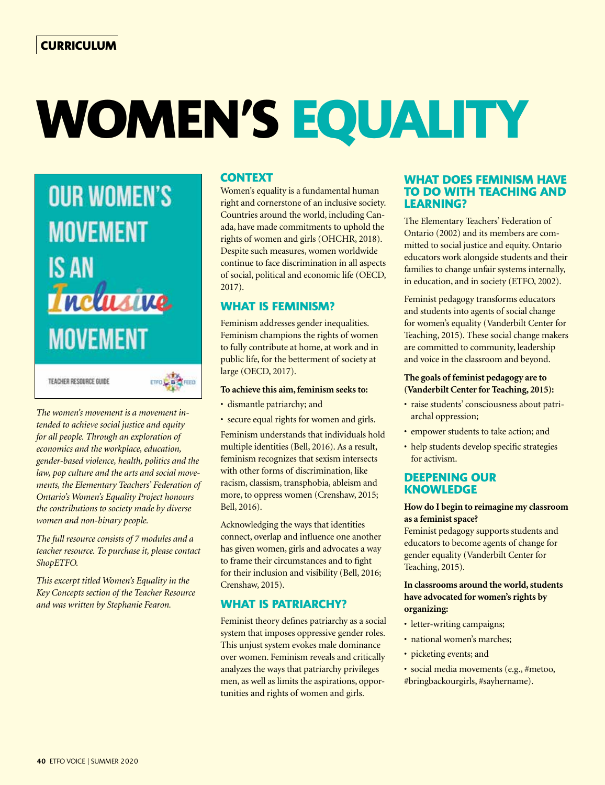# **WOMEN'S EQUALITY**



*The women's movement is a movement intended to achieve social justice and equity for all people. Through an exploration of economics and the workplace, education, gender-based violence, health, politics and the law, pop culture and the arts and social movements, the Elementary Teachers' Federation of Ontario's Women's Equality Project honours the contributions to society made by diverse women and non-binary people.* 

*The full resource consists of 7 modules and a teacher resource. To purchase it, please contact ShopETFO.* 

*This excerpt titled Women's Equality in the Key Concepts section of the Teacher Resource and was written by Stephanie Fearon.*

## **CONTEXT**

Women's equality is a fundamental human right and cornerstone of an inclusive society. Countries around the world, including Canada, have made commitments to uphold the rights of women and girls (OHCHR, 2018). Despite such measures, women worldwide continue to face discrimination in all aspects of social, political and economic life (OECD, 2017).

# **WHAT IS FEMINISM?**

Feminism addresses gender inequalities. Feminism champions the rights of women to fully contribute at home, at work and in public life, for the betterment of society at large (OECD, 2017).

#### **To achieve this aim, feminism seeks to:**

- dismantle patriarchy; and
- secure equal rights for women and girls.

Feminism understands that individuals hold multiple identities (Bell, 2016). As a result, feminism recognizes that sexism intersects with other forms of discrimination, like racism, classism, transphobia, ableism and more, to oppress women (Crenshaw, 2015; Bell, 2016).

Acknowledging the ways that identities connect, overlap and influence one another has given women, girls and advocates a way to frame their circumstances and to fight for their inclusion and visibility (Bell, 2016; Crenshaw, 2015).

## **WHAT IS PATRIARCHY?**

Feminist theory defines patriarchy as a social system that imposes oppressive gender roles. This unjust system evokes male dominance over women. Feminism reveals and critically analyzes the ways that patriarchy privileges men, as well as limits the aspirations, opportunities and rights of women and girls.

## **WHAT DOES FEMINISM HAVE TO DO WITH TEACHING AND LEARNING?**

The Elementary Teachers' Federation of Ontario (2002) and its members are committed to social justice and equity. Ontario educators work alongside students and their families to change unfair systems internally, in education, and in society (ETFO, 2002).

Feminist pedagogy transforms educators and students into agents of social change for women's equality (Vanderbilt Center for Teaching, 2015). These social change makers are committed to community, leadership and voice in the classroom and beyond.

#### **The goals of feminist pedagogy are to (Vanderbilt Center for Teaching, 2015):**

- raise students' consciousness about patriarchal oppression;
- empower students to take action; and
- help students develop specific strategies for activism.

## **DEEPENING OUR KNOWLEDGE**

#### **How do I begin to reimagine my classroom as a feminist space?**

Feminist pedagogy supports students and educators to become agents of change for gender equality (Vanderbilt Center for Teaching, 2015).

#### **In classrooms around the world, students have advocated for women's rights by organizing:**

- letter-writing campaigns;
- national women's marches;
- picketing events; and
- social media movements (e.g., #metoo, #bringbackourgirls, #sayhername).